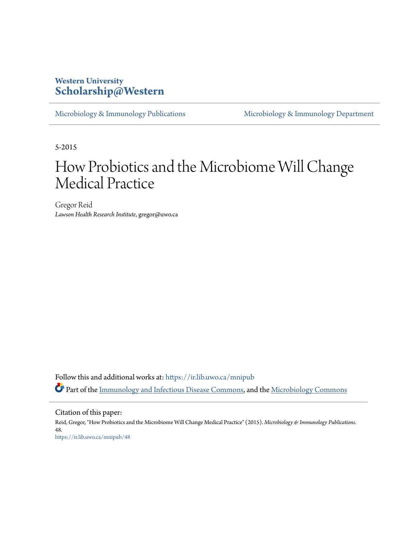## **Western University [Scholarship@Western](https://ir.lib.uwo.ca?utm_source=ir.lib.uwo.ca%2Fmnipub%2F48&utm_medium=PDF&utm_campaign=PDFCoverPages)**

[Microbiology & Immunology Publications](https://ir.lib.uwo.ca/mnipub?utm_source=ir.lib.uwo.ca%2Fmnipub%2F48&utm_medium=PDF&utm_campaign=PDFCoverPages) [Microbiology & Immunology Department](https://ir.lib.uwo.ca/mni?utm_source=ir.lib.uwo.ca%2Fmnipub%2F48&utm_medium=PDF&utm_campaign=PDFCoverPages)

5-2015

## How Probiotics and the Microbiome Will Change Medical Practice

Gregor Reid *Lawson Health Research Institute*, gregor@uwo.ca

Follow this and additional works at: [https://ir.lib.uwo.ca/mnipub](https://ir.lib.uwo.ca/mnipub?utm_source=ir.lib.uwo.ca%2Fmnipub%2F48&utm_medium=PDF&utm_campaign=PDFCoverPages) Part of the [Immunology and Infectious Disease Commons,](http://network.bepress.com/hgg/discipline/33?utm_source=ir.lib.uwo.ca%2Fmnipub%2F48&utm_medium=PDF&utm_campaign=PDFCoverPages) and the [Microbiology Commons](http://network.bepress.com/hgg/discipline/48?utm_source=ir.lib.uwo.ca%2Fmnipub%2F48&utm_medium=PDF&utm_campaign=PDFCoverPages)

Citation of this paper:

Reid, Gregor, "How Probiotics and the Microbiome Will Change Medical Practice" (2015). *Microbiology & Immunology Publications*. 48. [https://ir.lib.uwo.ca/mnipub/48](https://ir.lib.uwo.ca/mnipub/48?utm_source=ir.lib.uwo.ca%2Fmnipub%2F48&utm_medium=PDF&utm_campaign=PDFCoverPages)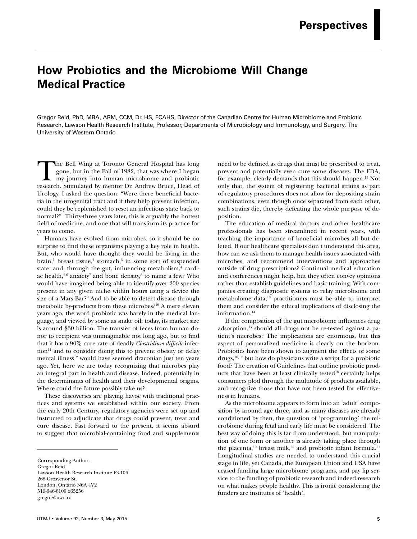## **How Probiotics and the Microbiome Will Change Medical Practice**

Gregor Reid, PhD, MBA, ARM, CCM, Dr. HS, FCAHS, Director of the Canadian Centre for Human Microbiome and Probiotic Research, Lawson Health Research Institute, Professor, Departments of Microbiology and Immunology, and Surgery, The University of Western Ontario

The Bell Wing at Toronto General Hospital has long<br>gone, but in the Fall of 1982, that was where I began<br>my journey into human microbiome and probiotic<br>research Stimulated by mentor Dr Andrew Bruce Head of gone, but in the Fall of 1982, that was where I began my journey into human microbiome and probiotic research. Stimulated by mentor Dr. Andrew Bruce, Head of Urology, I asked the question: "Were there beneficial bacteria in the urogenital tract and if they help prevent infection, could they be replenished to reset an infectious state back to normal?" Thirty-three years later, this is arguably the hottest field of medicine, and one that will transform its practice for years to come.

Humans have evolved from microbes, so it should be no surprise to find these organisms playing a key role in health. But, who would have thought they would be living in the brain,<sup>1</sup> breast tissue,<sup>2</sup> stomach,<sup>3</sup> in some sort of suspended state, and, through the gut, influencing metabolism,<sup>4</sup> cardiac health, $5,6$  anxiety<sup>7</sup> and bone density, $8$  to name a few? Who would have imagined being able to identify over 200 species present in any given niche within hours using a device the size of a Mars Bar?9 And to be able to detect disease through metabolic by-products from these microbes?10 A mere eleven years ago, the word probiotic was barely in the medical language, and viewed by some as snake oil: today, its market size is around \$30 billion. The transfer of feces from human donor to recipient was unimaginable not long ago, but to find that it has a 90% cure rate of deadly *Clostridium difficile* infection<sup>11</sup> and to consider doing this to prevent obesity or delay mental illness<sup>12</sup> would have seemed draconian just ten years ago. Yet, here we are today recognizing that microbes play an integral part in health and disease. Indeed, potentially in the determinants of health and their developmental origins. Where could the future possibly take us?

These discoveries are playing havoc with traditional practices and systems we established within our society. From the early 20th Century, regulatory agencies were set up and instructed to adjudicate that drugs could prevent, treat and cure disease. Fast forward to the present, it seems absurd to suggest that microbial-containing food and supplements

need to be defined as drugs that must be prescribed to treat, prevent and potentially even cure some diseases. The FDA, for example, clearly demands that this should happen.13 Not only that, the system of registering bacterial strains as part of regulatory procedures does not allow for depositing strain combinations, even though once separated from each other, such strains die, thereby defeating the whole purpose of deposition.

The education of medical doctors and other healthcare professionals has been streamlined in recent years, with teaching the importance of beneficial microbes all but deleted. If our healthcare specialists don't understand this area, how can we ask them to manage health issues associated with microbes, and recommend interventions and approaches outside of drug prescriptions? Continual medical education and conferences might help, but they often convey opinions rather than establish guidelines and basic training. With companies creating diagnostic systems to relay microbiome and metabolome data,10 practitioners must be able to interpret them and consider the ethical implications of disclosing the information.14

If the composition of the gut microbiome influences drug adsorption,15 should all drugs not be re-tested against a patient's microbes? The implications are enormous, but this aspect of personalized medicine is clearly on the horizon. Probiotics have been shown to augment the effects of some drugs,16,17 but how do physicians write a script for a probiotic food? The creation of Guidelines that outline probiotic products that have been at least clinically tested<sup>18</sup> certainly helps consumers plod through the multitude of products available, and recognize those that have not been tested for effectiveness in humans.

As the microbiome appears to form into an 'adult' composition by around age three, and as many diseases are already conditioned by then, the question of 'programming' the microbiome during fetal and early life must be considered. The best way of doing this is far from understood, but manipulation of one form or another is already taking place through the placenta,<sup>19</sup> breast milk,<sup>20</sup> and probiotic infant formula.<sup>21</sup> Longitudinal studies are needed to understand this crucial stage in life, yet Canada, the European Union and USA have ceased funding large microbiome programs, and pay lip service to the funding of probiotic research and indeed research on what makes people healthy. This is ironic considering the funders are institutes of 'health'.

Corresponding Author: Gregor Reid Lawson Health Research Institute F3-106 268 Grosvenor St. London, Ontario N6A 4V2 519-646-6100 x65256 gregor@uwo.ca